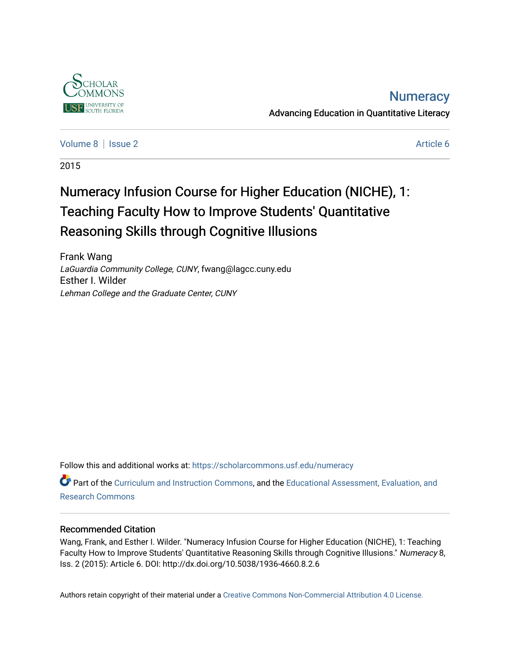

### **Numeracy**

Advancing Education in Quantitative Literacy

[Volume 8](https://scholarcommons.usf.edu/numeracy/vol8) | [Issue 2](https://scholarcommons.usf.edu/numeracy/vol8/iss2) Article 6

2015

# Numeracy Infusion Course for Higher Education (NICHE), 1: Teaching Faculty How to Improve Students' Quantitative Reasoning Skills through Cognitive Illusions

Frank Wang LaGuardia Community College, CUNY, fwang@lagcc.cuny.edu Esther I. Wilder Lehman College and the Graduate Center, CUNY

Follow this and additional works at: [https://scholarcommons.usf.edu/numeracy](https://scholarcommons.usf.edu/numeracy?utm_source=scholarcommons.usf.edu%2Fnumeracy%2Fvol8%2Fiss2%2Fart6&utm_medium=PDF&utm_campaign=PDFCoverPages) 

Part of the [Curriculum and Instruction Commons,](http://network.bepress.com/hgg/discipline/786?utm_source=scholarcommons.usf.edu%2Fnumeracy%2Fvol8%2Fiss2%2Fart6&utm_medium=PDF&utm_campaign=PDFCoverPages) and the [Educational Assessment, Evaluation, and](http://network.bepress.com/hgg/discipline/796?utm_source=scholarcommons.usf.edu%2Fnumeracy%2Fvol8%2Fiss2%2Fart6&utm_medium=PDF&utm_campaign=PDFCoverPages) [Research Commons](http://network.bepress.com/hgg/discipline/796?utm_source=scholarcommons.usf.edu%2Fnumeracy%2Fvol8%2Fiss2%2Fart6&utm_medium=PDF&utm_campaign=PDFCoverPages) 

#### Recommended Citation

Wang, Frank, and Esther I. Wilder. "Numeracy Infusion Course for Higher Education (NICHE), 1: Teaching Faculty How to Improve Students' Quantitative Reasoning Skills through Cognitive Illusions." Numeracy 8, Iss. 2 (2015): Article 6. DOI: http://dx.doi.org/10.5038/1936-4660.8.2.6

Authors retain copyright of their material under a [Creative Commons Non-Commercial Attribution 4.0 License.](http://creativecommons.org/licenses/by-nc/4.0/)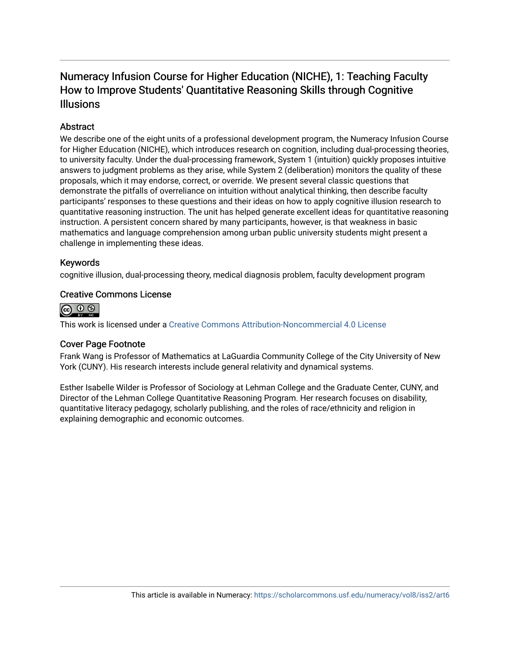### Numeracy Infusion Course for Higher Education (NICHE), 1: Teaching Faculty How to Improve Students' Quantitative Reasoning Skills through Cognitive **Illusions**

#### **Abstract**

We describe one of the eight units of a professional development program, the Numeracy Infusion Course for Higher Education (NICHE), which introduces research on cognition, including dual-processing theories, to university faculty. Under the dual-processing framework, System 1 (intuition) quickly proposes intuitive answers to judgment problems as they arise, while System 2 (deliberation) monitors the quality of these proposals, which it may endorse, correct, or override. We present several classic questions that demonstrate the pitfalls of overreliance on intuition without analytical thinking, then describe faculty participants' responses to these questions and their ideas on how to apply cognitive illusion research to quantitative reasoning instruction. The unit has helped generate excellent ideas for quantitative reasoning instruction. A persistent concern shared by many participants, however, is that weakness in basic mathematics and language comprehension among urban public university students might present a challenge in implementing these ideas.

#### Keywords

cognitive illusion, dual-processing theory, medical diagnosis problem, faculty development program

#### Creative Commons License



This work is licensed under a [Creative Commons Attribution-Noncommercial 4.0 License](https://creativecommons.org/licenses/by-nc/4.0/legalcode) 

#### Cover Page Footnote

Frank Wang is Professor of Mathematics at LaGuardia Community College of the City University of New York (CUNY). His research interests include general relativity and dynamical systems.

Esther Isabelle Wilder is Professor of Sociology at Lehman College and the Graduate Center, CUNY, and Director of the Lehman College Quantitative Reasoning Program. Her research focuses on disability, quantitative literacy pedagogy, scholarly publishing, and the roles of race/ethnicity and religion in explaining demographic and economic outcomes.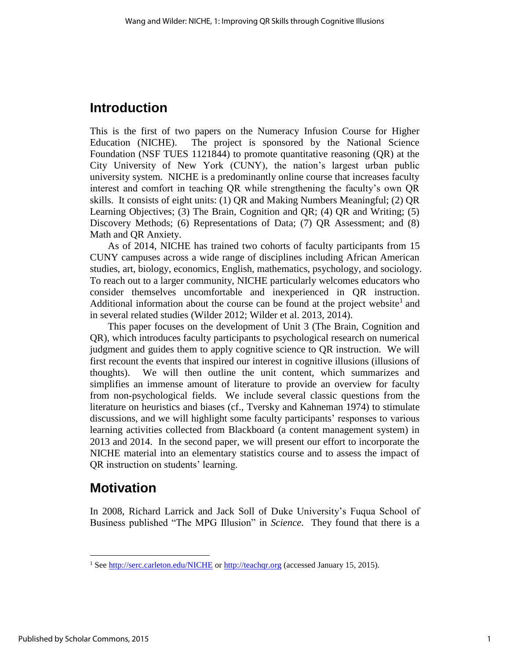### **Introduction**

This is the first of two papers on the Numeracy Infusion Course for Higher Education (NICHE). The project is sponsored by the National Science Foundation (NSF TUES 1121844) to promote quantitative reasoning (QR) at the City University of New York (CUNY), the nation's largest urban public university system. NICHE is a predominantly online course that increases faculty interest and comfort in teaching QR while strengthening the faculty's own QR skills. It consists of eight units: (1) QR and Making Numbers Meaningful; (2) QR Learning Objectives; (3) The Brain, Cognition and QR; (4) QR and Writing; (5) Discovery Methods; (6) Representations of Data; (7) QR Assessment; and (8) Math and QR Anxiety.

As of 2014, NICHE has trained two cohorts of faculty participants from 15 CUNY campuses across a wide range of disciplines including African American studies, art, biology, economics, English, mathematics, psychology, and sociology. To reach out to a larger community, NICHE particularly welcomes educators who consider themselves uncomfortable and inexperienced in QR instruction. Additional information about the course can be found at the project website<sup>1</sup> and in several related studies (Wilder 2012; Wilder et al. 2013, 2014).

This paper focuses on the development of Unit 3 (The Brain, Cognition and QR), which introduces faculty participants to psychological research on numerical judgment and guides them to apply cognitive science to QR instruction. We will first recount the events that inspired our interest in cognitive illusions (illusions of thoughts). We will then outline the unit content, which summarizes and simplifies an immense amount of literature to provide an overview for faculty from non-psychological fields. We include several classic questions from the literature on heuristics and biases (cf., Tversky and Kahneman 1974) to stimulate discussions, and we will highlight some faculty participants' responses to various learning activities collected from Blackboard (a content management system) in 2013 and 2014. In the second paper, we will present our effort to incorporate the NICHE material into an elementary statistics course and to assess the impact of QR instruction on students' learning.

### **Motivation**

In 2008, Richard Larrick and Jack Soll of Duke University's Fuqua School of Business published "The MPG Illusion" in *Science*. They found that there is a

<sup>&</sup>lt;sup>1</sup> Se[e http://serc.carleton.edu/NICHE](http://serc.carleton.edu/NICHE) or [http://teachqr.org](http://teachqr.org/) (accessed January 15, 2015).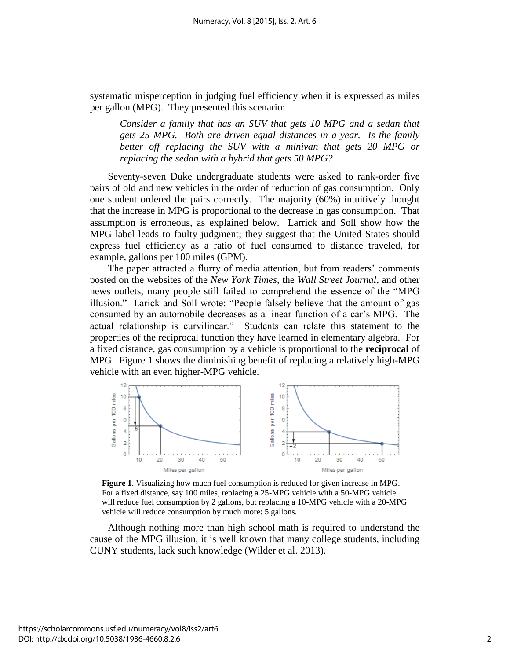systematic misperception in judging fuel efficiency when it is expressed as miles per gallon (MPG). They presented this scenario:

*Consider a family that has an SUV that gets 10 MPG and a sedan that gets 25 MPG. Both are driven equal distances in a year. Is the family better off replacing the SUV with a minivan that gets 20 MPG or replacing the sedan with a hybrid that gets 50 MPG?* 

Seventy-seven Duke undergraduate students were asked to rank-order five pairs of old and new vehicles in the order of reduction of gas consumption. Only one student ordered the pairs correctly. The majority (60%) intuitively thought that the increase in MPG is proportional to the decrease in gas consumption. That assumption is erroneous, as explained below. Larrick and Soll show how the MPG label leads to faulty judgment; they suggest that the United States should express fuel efficiency as a ratio of fuel consumed to distance traveled, for example, gallons per 100 miles (GPM).

The paper attracted a flurry of media attention, but from readers' comments posted on the websites of the *New York Times*, the *Wall Street Journal*, and other news outlets, many people still failed to comprehend the essence of the "MPG illusion." Larick and Soll wrote: "People falsely believe that the amount of gas consumed by an automobile decreases as a linear function of a car's MPG. The actual relationship is curvilinear." Students can relate this statement to the properties of the reciprocal function they have learned in elementary algebra. For a fixed distance, gas consumption by a vehicle is proportional to the **reciprocal** of MPG. Figure 1 shows the diminishing benefit of replacing a relatively high-MPG vehicle with an even higher-MPG vehicle.



**Figure 1**. Visualizing how much fuel consumption is reduced for given increase in MPG. For a fixed distance, say 100 miles, replacing a 25-MPG vehicle with a 50-MPG vehicle will reduce fuel consumption by 2 gallons, but replacing a 10-MPG vehicle with a 20-MPG vehicle will reduce consumption by much more: 5 gallons.

Although nothing more than high school math is required to understand the cause of the MPG illusion, it is well known that many college students, including CUNY students, lack such knowledge (Wilder et al. 2013).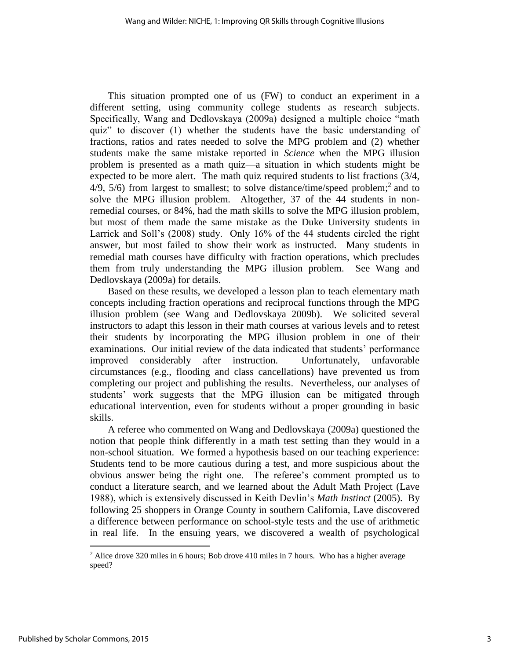This situation prompted one of us (FW) to conduct an experiment in a different setting, using community college students as research subjects. Specifically, Wang and Dedlovskaya (2009a) designed a multiple choice "math quiz" to discover (1) whether the students have the basic understanding of fractions, ratios and rates needed to solve the MPG problem and (2) whether students make the same mistake reported in *Science* when the MPG illusion problem is presented as a math quiz—a situation in which students might be expected to be more alert. The math quiz required students to list fractions (3/4,  $4/9$ ,  $5/6$ ) from largest to smallest; to solve distance/time/speed problem;<sup>2</sup> and to solve the MPG illusion problem. Altogether, 37 of the 44 students in nonremedial courses, or 84%, had the math skills to solve the MPG illusion problem, but most of them made the same mistake as the Duke University students in Larrick and Soll's (2008) study. Only 16% of the 44 students circled the right answer, but most failed to show their work as instructed. Many students in remedial math courses have difficulty with fraction operations, which precludes them from truly understanding the MPG illusion problem. See Wang and Dedlovskaya (2009a) for details.

Based on these results, we developed a lesson plan to teach elementary math concepts including fraction operations and reciprocal functions through the MPG illusion problem (see Wang and Dedlovskaya 2009b). We solicited several instructors to adapt this lesson in their math courses at various levels and to retest their students by incorporating the MPG illusion problem in one of their examinations. Our initial review of the data indicated that students' performance improved considerably after instruction. Unfortunately, unfavorable circumstances (e.g., flooding and class cancellations) have prevented us from completing our project and publishing the results. Nevertheless, our analyses of students' work suggests that the MPG illusion can be mitigated through educational intervention, even for students without a proper grounding in basic skills.

A referee who commented on Wang and Dedlovskaya (2009a) questioned the notion that people think differently in a math test setting than they would in a non-school situation. We formed a hypothesis based on our teaching experience: Students tend to be more cautious during a test, and more suspicious about the obvious answer being the right one. The referee's comment prompted us to conduct a literature search, and we learned about the Adult Math Project (Lave 1988), which is extensively discussed in Keith Devlin's *Math Instinct* (2005). By following 25 shoppers in Orange County in southern California, Lave discovered a difference between performance on school-style tests and the use of arithmetic in real life. In the ensuing years, we discovered a wealth of psychological

 $\overline{a}$ 

<sup>&</sup>lt;sup>2</sup> Alice drove 320 miles in 6 hours; Bob drove 410 miles in 7 hours. Who has a higher average speed?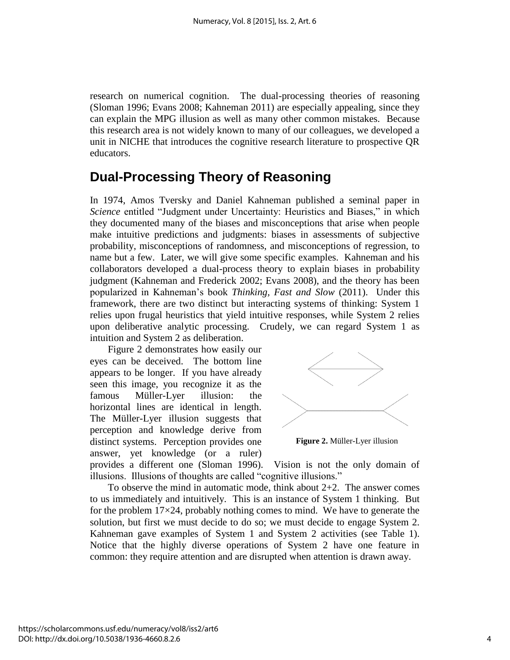research on numerical cognition. The dual-processing theories of reasoning (Sloman 1996; Evans 2008; Kahneman 2011) are especially appealing, since they can explain the MPG illusion as well as many other common mistakes. Because this research area is not widely known to many of our colleagues, we developed a unit in NICHE that introduces the cognitive research literature to prospective QR educators.

## **Dual-Processing Theory of Reasoning**

In 1974, Amos Tversky and Daniel Kahneman published a seminal paper in *Science* entitled "Judgment under Uncertainty: Heuristics and Biases," in which they documented many of the biases and misconceptions that arise when people make intuitive predictions and judgments: biases in assessments of subjective probability, misconceptions of randomness, and misconceptions of regression, to name but a few. Later, we will give some specific examples. Kahneman and his collaborators developed a dual-process theory to explain biases in probability judgment (Kahneman and Frederick 2002; Evans 2008), and the theory has been popularized in Kahneman's book *Thinking, Fast and Slow* (2011). Under this framework, there are two distinct but interacting systems of thinking: System 1 relies upon frugal heuristics that yield intuitive responses, while System 2 relies upon deliberative analytic processing. Crudely, we can regard System 1 as intuition and System 2 as deliberation.

Figure 2 demonstrates how easily our eyes can be deceived. The bottom line appears to be longer. If you have already seen this image, you recognize it as the famous Müller-Lyer illusion: the horizontal lines are identical in length. The Müller-Lyer illusion suggests that perception and knowledge derive from distinct systems. Perception provides one answer, yet knowledge (or a ruler)



**Figure 2.** Müller-Lyer illusion

provides a different one (Sloman 1996). Vision is not the only domain of illusions. Illusions of thoughts are called "cognitive illusions."

To observe the mind in automatic mode, think about  $2+2$ . The answer comes to us immediately and intuitively. This is an instance of System 1 thinking. But for the problem  $17\times24$ , probably nothing comes to mind. We have to generate the solution, but first we must decide to do so; we must decide to engage System 2. Kahneman gave examples of System 1 and System 2 activities (see Table 1). Notice that the highly diverse operations of System 2 have one feature in common: they require attention and are disrupted when attention is drawn away.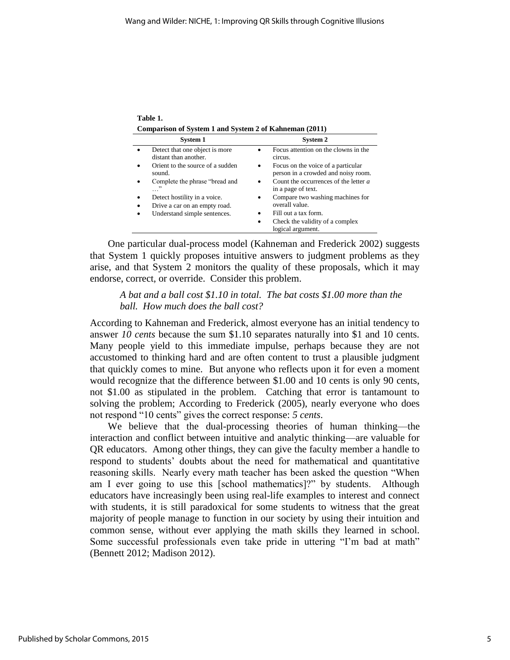**Table 1. Comparison of System 1 and System 2 of Kahneman (2011)**

| System 1                                                | <b>System 2</b>                                                                |  |  |
|---------------------------------------------------------|--------------------------------------------------------------------------------|--|--|
| Detect that one object is more<br>distant than another. | Focus attention on the clowns in the<br>$\bullet$<br>circus.                   |  |  |
| Orient to the source of a sudden<br>sound.              | Focus on the voice of a particular<br>٠<br>person in a crowded and noisy room. |  |  |
| Complete the phrase "bread and<br>55<br>.               | Count the occurrences of the letter a<br>$\bullet$<br>in a page of text.       |  |  |
| Detect hostility in a voice.                            | Compare two washing machines for<br>٠                                          |  |  |
| Drive a car on an empty road.                           | overall value.                                                                 |  |  |
| Understand simple sentences.                            | Fill out a tax form.                                                           |  |  |
|                                                         | Check the validity of a complex<br>٠                                           |  |  |
|                                                         | logical argument.                                                              |  |  |

One particular dual-process model (Kahneman and Frederick 2002) suggests that System 1 quickly proposes intuitive answers to judgment problems as they arise, and that System 2 monitors the quality of these proposals, which it may endorse, correct, or override. Consider this problem.

#### *A bat and a ball cost \$1.10 in total. The bat costs \$1.00 more than the ball. How much does the ball cost?*

According to Kahneman and Frederick, almost everyone has an initial tendency to answer *10 cents* because the sum \$1.10 separates naturally into \$1 and 10 cents. Many people yield to this immediate impulse, perhaps because they are not accustomed to thinking hard and are often content to trust a plausible judgment that quickly comes to mine. But anyone who reflects upon it for even a moment would recognize that the difference between \$1.00 and 10 cents is only 90 cents, not \$1.00 as stipulated in the problem. Catching that error is tantamount to solving the problem; According to Frederick (2005), nearly everyone who does not respond "10 cents" gives the correct response: *5 cents*.

We believe that the dual-processing theories of human thinking—the interaction and conflict between intuitive and analytic thinking—are valuable for QR educators. Among other things, they can give the faculty member a handle to respond to students' doubts about the need for mathematical and quantitative reasoning skills. Nearly every math teacher has been asked the question "When am I ever going to use this [school mathematics]?" by students. Although educators have increasingly been using real-life examples to interest and connect with students, it is still paradoxical for some students to witness that the great majority of people manage to function in our society by using their intuition and common sense, without ever applying the math skills they learned in school. Some successful professionals even take pride in uttering "I'm bad at math" (Bennett 2012; Madison 2012).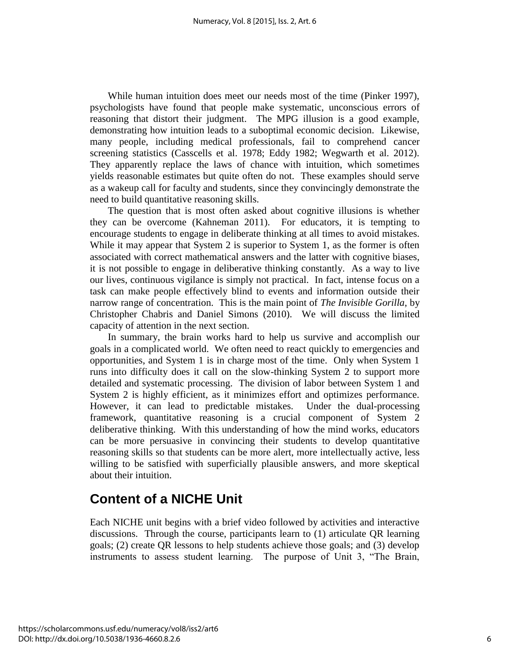While human intuition does meet our needs most of the time (Pinker 1997), psychologists have found that people make systematic, unconscious errors of reasoning that distort their judgment. The MPG illusion is a good example, demonstrating how intuition leads to a suboptimal economic decision. Likewise, many people, including medical professionals, fail to comprehend cancer screening statistics (Casscells et al. 1978; Eddy 1982; Wegwarth et al. 2012). They apparently replace the laws of chance with intuition, which sometimes yields reasonable estimates but quite often do not. These examples should serve as a wakeup call for faculty and students, since they convincingly demonstrate the need to build quantitative reasoning skills.

The question that is most often asked about cognitive illusions is whether they can be overcome (Kahneman 2011). For educators, it is tempting to encourage students to engage in deliberate thinking at all times to avoid mistakes. While it may appear that System 2 is superior to System 1, as the former is often associated with correct mathematical answers and the latter with cognitive biases, it is not possible to engage in deliberative thinking constantly. As a way to live our lives, continuous vigilance is simply not practical. In fact, intense focus on a task can make people effectively blind to events and information outside their narrow range of concentration. This is the main point of *The Invisible Gorilla*, by Christopher Chabris and Daniel Simons (2010). We will discuss the limited capacity of attention in the next section.

In summary, the brain works hard to help us survive and accomplish our goals in a complicated world. We often need to react quickly to emergencies and opportunities, and System 1 is in charge most of the time. Only when System 1 runs into difficulty does it call on the slow-thinking System 2 to support more detailed and systematic processing. The division of labor between System 1 and System 2 is highly efficient, as it minimizes effort and optimizes performance. However, it can lead to predictable mistakes. Under the dual-processing framework, quantitative reasoning is a crucial component of System 2 deliberative thinking. With this understanding of how the mind works, educators can be more persuasive in convincing their students to develop quantitative reasoning skills so that students can be more alert, more intellectually active, less willing to be satisfied with superficially plausible answers, and more skeptical about their intuition.

## **Content of a NICHE Unit**

Each NICHE unit begins with a brief video followed by activities and interactive discussions. Through the course, participants learn to (1) articulate QR learning goals; (2) create QR lessons to help students achieve those goals; and (3) develop instruments to assess student learning. The purpose of Unit 3, "The Brain,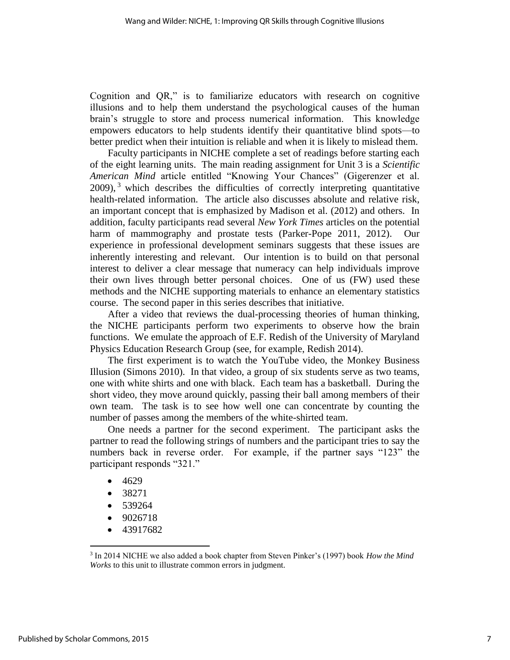Cognition and QR," is to familiarize educators with research on cognitive illusions and to help them understand the psychological causes of the human brain's struggle to store and process numerical information. This knowledge empowers educators to help students identify their quantitative blind spots—to better predict when their intuition is reliable and when it is likely to mislead them.

Faculty participants in NICHE complete a set of readings before starting each of the eight learning units. The main reading assignment for Unit 3 is a *Scientific American Mind* article entitled "Knowing Your Chances" (Gigerenzer et al.  $2009$ , <sup>3</sup> which describes the difficulties of correctly interpreting quantitative health-related information. The article also discusses absolute and relative risk, an important concept that is emphasized by Madison et al. (2012) and others. In addition, faculty participants read several *New York Times* articles on the potential harm of mammography and prostate tests (Parker-Pope 2011, 2012). Our experience in professional development seminars suggests that these issues are inherently interesting and relevant. Our intention is to build on that personal interest to deliver a clear message that numeracy can help individuals improve their own lives through better personal choices. One of us (FW) used these methods and the NICHE supporting materials to enhance an elementary statistics course. The second paper in this series describes that initiative.

After a video that reviews the dual-processing theories of human thinking, the NICHE participants perform two experiments to observe how the brain functions. We emulate the approach of E.F. Redish of the University of Maryland Physics Education Research Group (see, for example, Redish 2014).

The first experiment is to watch the YouTube video, the Monkey Business Illusion (Simons 2010). In that video, a group of six students serve as two teams, one with white shirts and one with black. Each team has a basketball. During the short video, they move around quickly, passing their ball among members of their own team. The task is to see how well one can concentrate by counting the number of passes among the members of the white-shirted team.

One needs a partner for the second experiment. The participant asks the partner to read the following strings of numbers and the participant tries to say the numbers back in reverse order. For example, if the partner says "123" the participant responds "321."

- $4629$
- $38271$
- $539264$
- $•$  9026718
- 43917682

 $\overline{a}$ 

<sup>3</sup> In 2014 NICHE we also added a book chapter from Steven Pinker's (1997) book *How the Mind Works* to this unit to illustrate common errors in judgment.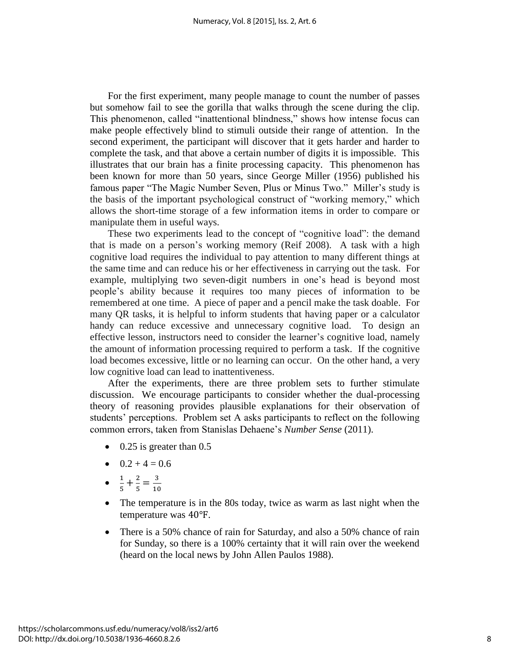For the first experiment, many people manage to count the number of passes but somehow fail to see the gorilla that walks through the scene during the clip. This phenomenon, called "inattentional blindness," shows how intense focus can make people effectively blind to stimuli outside their range of attention. In the second experiment, the participant will discover that it gets harder and harder to complete the task, and that above a certain number of digits it is impossible. This illustrates that our brain has a finite processing capacity. This phenomenon has been known for more than 50 years, since George Miller (1956) published his famous paper "The Magic Number Seven, Plus or Minus Two." Miller's study is the basis of the important psychological construct of "working memory," which allows the short-time storage of a few information items in order to compare or manipulate them in useful ways.

These two experiments lead to the concept of "cognitive load": the demand that is made on a person's working memory (Reif 2008). A task with a high cognitive load requires the individual to pay attention to many different things at the same time and can reduce his or her effectiveness in carrying out the task. For example, multiplying two seven-digit numbers in one's head is beyond most people's ability because it requires too many pieces of information to be remembered at one time. A piece of paper and a pencil make the task doable. For many QR tasks, it is helpful to inform students that having paper or a calculator handy can reduce excessive and unnecessary cognitive load. To design an effective lesson, instructors need to consider the learner's cognitive load, namely the amount of information processing required to perform a task. If the cognitive load becomes excessive, little or no learning can occur. On the other hand, a very low cognitive load can lead to inattentiveness.

After the experiments, there are three problem sets to further stimulate discussion. We encourage participants to consider whether the dual-processing theory of reasoning provides plausible explanations for their observation of students' perceptions. Problem set A asks participants to reflect on the following common errors, taken from Stanislas Dehaene's *Number Sense* (2011).

- $\bullet$  0.25 is greater than 0.5
- $0.2 + 4 = 0.6$
- $\bullet \ \frac{1}{7}$  $\frac{1}{5} + \frac{2}{5}$  $\frac{2}{5} = \frac{3}{10}$ 10
- The temperature is in the 80s today, twice as warm as last night when the temperature was 40℉.
- There is a 50% chance of rain for Saturday, and also a 50% chance of rain for Sunday, so there is a 100% certainty that it will rain over the weekend (heard on the local news by John Allen Paulos 1988).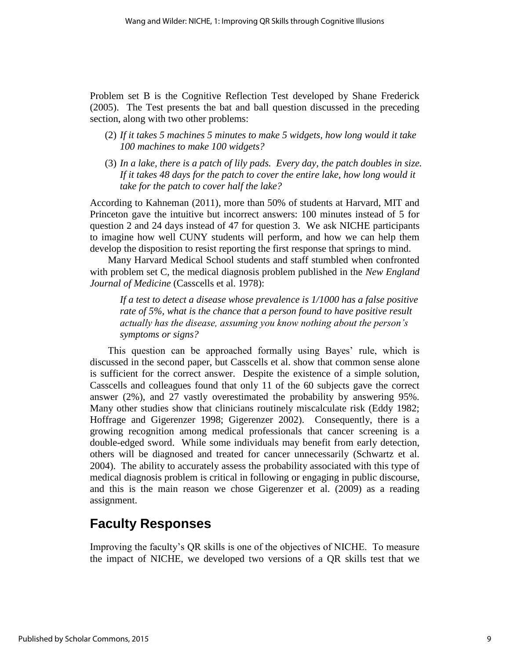Problem set B is the Cognitive Reflection Test developed by Shane Frederick (2005). The Test presents the bat and ball question discussed in the preceding section, along with two other problems:

- (2) *If it takes 5 machines 5 minutes to make 5 widgets, how long would it take 100 machines to make 100 widgets?*
- (3) *In a lake, there is a patch of lily pads. Every day, the patch doubles in size. If it takes 48 days for the patch to cover the entire lake, how long would it take for the patch to cover half the lake?*

According to Kahneman (2011), more than 50% of students at Harvard, MIT and Princeton gave the intuitive but incorrect answers: 100 minutes instead of 5 for question 2 and 24 days instead of 47 for question 3. We ask NICHE participants to imagine how well CUNY students will perform, and how we can help them develop the disposition to resist reporting the first response that springs to mind.

Many Harvard Medical School students and staff stumbled when confronted with problem set C, the medical diagnosis problem published in the *New England Journal of Medicine* (Casscells et al. 1978):

*If a test to detect a disease whose prevalence is 1/1000 has a false positive rate of 5%, what is the chance that a person found to have positive result actually has the disease, assuming you know nothing about the person's symptoms or signs?* 

This question can be approached formally using Bayes' rule, which is discussed in the second paper, but Casscells et al. show that common sense alone is sufficient for the correct answer. Despite the existence of a simple solution, Casscells and colleagues found that only 11 of the 60 subjects gave the correct answer (2%), and 27 vastly overestimated the probability by answering 95%. Many other studies show that clinicians routinely miscalculate risk (Eddy 1982; Hoffrage and Gigerenzer 1998; Gigerenzer 2002). Consequently, there is a growing recognition among medical professionals that cancer screening is a double-edged sword. While some individuals may benefit from early detection, others will be diagnosed and treated for cancer unnecessarily (Schwartz et al. 2004). The ability to accurately assess the probability associated with this type of medical diagnosis problem is critical in following or engaging in public discourse, and this is the main reason we chose Gigerenzer et al. (2009) as a reading assignment.

## **Faculty Responses**

Improving the faculty's QR skills is one of the objectives of NICHE. To measure the impact of NICHE, we developed two versions of a QR skills test that we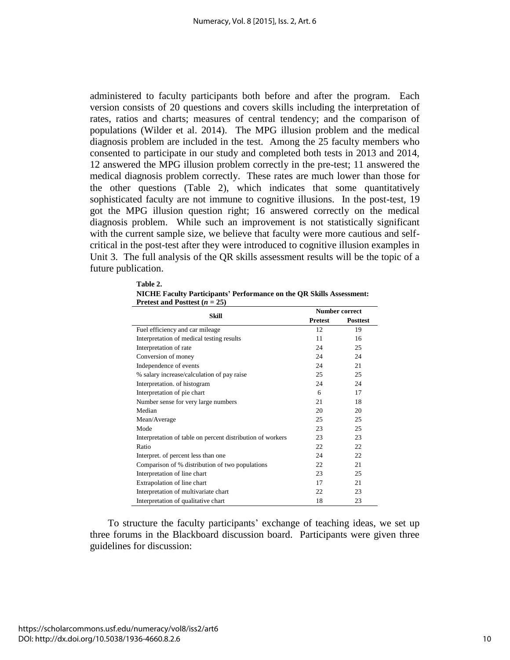administered to faculty participants both before and after the program. Each version consists of 20 questions and covers skills including the interpretation of rates, ratios and charts; measures of central tendency; and the comparison of populations (Wilder et al. 2014). The MPG illusion problem and the medical diagnosis problem are included in the test. Among the 25 faculty members who consented to participate in our study and completed both tests in 2013 and 2014, 12 answered the MPG illusion problem correctly in the pre-test; 11 answered the medical diagnosis problem correctly. These rates are much lower than those for the other questions (Table 2), which indicates that some quantitatively sophisticated faculty are not immune to cognitive illusions. In the post-test, 19 got the MPG illusion question right; 16 answered correctly on the medical diagnosis problem. While such an improvement is not statistically significant with the current sample size, we believe that faculty were more cautious and selfcritical in the post-test after they were introduced to cognitive illusion examples in Unit 3. The full analysis of the QR skills assessment results will be the topic of a future publication.

**Table 2.** 

**NICHE Faculty Participants' Performance on the QR Skills Assessment: Pretest and Posttest (** $n = 25$ **)** 

| Skill                                                      | <b>Number correct</b> |                 |
|------------------------------------------------------------|-----------------------|-----------------|
|                                                            | <b>Pretest</b>        | <b>Posttest</b> |
| Fuel efficiency and car mileage                            | 12                    | 19              |
| Interpretation of medical testing results                  | 11                    | 16              |
| Interpretation of rate                                     | 24                    | 25              |
| Conversion of money                                        | 24                    | 24              |
| Independence of events                                     | 24                    | 21              |
| % salary increase/calculation of pay raise                 | 25                    | 25              |
| Interpretation. of histogram                               | 24                    | 24              |
| Interpretation of pie chart                                | 6                     | 17              |
| Number sense for very large numbers                        | 21                    | 18              |
| Median                                                     | 20                    | 20              |
| Mean/Average                                               | 25                    | 25              |
| Mode                                                       | 23                    | 25              |
| Interpretation of table on percent distribution of workers | 23                    | 23              |
| Ratio                                                      | 22                    | 22              |
| Interpret. of percent less than one                        | 24                    | 22              |
| Comparison of % distribution of two populations            | 22                    | 21              |
| Interpretation of line chart                               | 23                    | 25              |
| Extrapolation of line chart                                | 17                    | 21              |
| Interpretation of multivariate chart                       | 22                    | 23              |
| Interpretation of qualitative chart                        | 18                    | 23              |

To structure the faculty participants' exchange of teaching ideas, we set up three forums in the Blackboard discussion board. Participants were given three guidelines for discussion: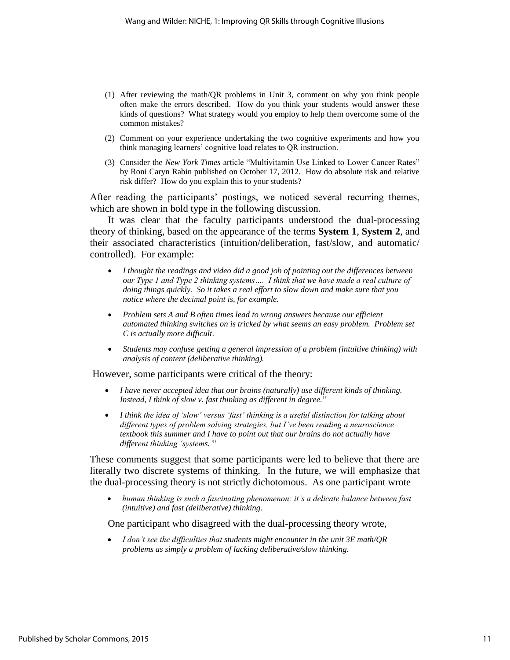- (1) After reviewing the math/QR problems in Unit 3, comment on why you think people often make the errors described. How do you think your students would answer these kinds of questions? What strategy would you employ to help them overcome some of the common mistakes?
- (2) Comment on your experience undertaking the two cognitive experiments and how you think managing learners' cognitive load relates to QR instruction.
- (3) Consider the *New York Times* article "Multivitamin Use Linked to Lower Cancer Rates" by Roni Caryn Rabin published on October 17, 2012. How do absolute risk and relative risk differ? How do you explain this to your students?

After reading the participants' postings, we noticed several recurring themes, which are shown in bold type in the following discussion.

It was clear that the faculty participants understood the dual-processing theory of thinking, based on the appearance of the terms **System 1**, **System 2**, and their associated characteristics (intuition/deliberation, fast/slow, and automatic/ controlled). For example:

- *I thought the readings and video did a good job of pointing out the differences between our Type 1 and Type 2 thinking systems…. I think that we have made a real culture of doing things quickly. So it takes a real effort to slow down and make sure that you notice where the decimal point is, for example.*
- *Problem sets A and B often times lead to wrong answers because our efficient automated thinking switches on is tricked by what seems an easy problem. Problem set C is actually more difficult*.
- *Students may confuse getting a general impression of a problem (intuitive thinking) with analysis of content (deliberative thinking).*

However, some participants were critical of the theory:

- *I have never accepted idea that our brains (naturally) use different kinds of thinking. Instead, I think of slow v. fast thinking as different in degree.*"
- *I think the idea of 'slow' versus 'fast' thinking is a useful distinction for talking about different types of problem solving strategies, but I've been reading a neuroscience textbook this summer and I have to point out that our brains do not actually have different thinking 'systems.'*"

These comments suggest that some participants were led to believe that there are literally two discrete systems of thinking. In the future, we will emphasize that the dual-processing theory is not strictly dichotomous. As one participant wrote

 *human thinking is such a fascinating phenomenon: it's a delicate balance between fast (intuitive) and fast (deliberative) thinking*.

One participant who disagreed with the dual-processing theory wrote,

 *I don't see the difficulties that students might encounter in the unit 3E math/QR problems as simply a problem of lacking deliberative/slow thinking.*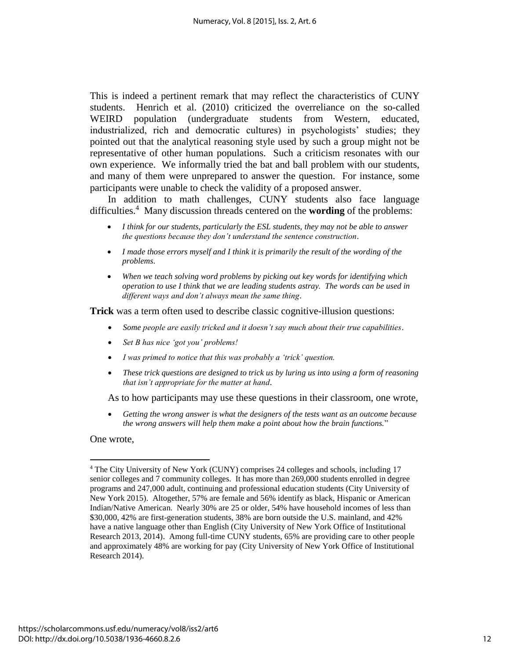This is indeed a pertinent remark that may reflect the characteristics of CUNY students. Henrich et al. (2010) criticized the overreliance on the so-called WEIRD population (undergraduate students from Western, educated, industrialized, rich and democratic cultures) in psychologists' studies; they pointed out that the analytical reasoning style used by such a group might not be representative of other human populations. Such a criticism resonates with our own experience. We informally tried the bat and ball problem with our students, and many of them were unprepared to answer the question. For instance, some participants were unable to check the validity of a proposed answer.

In addition to math challenges, CUNY students also face language difficulties.<sup>4</sup> Many discussion threads centered on the **wording** of the problems:

- *I think for our students, particularly the ESL students, they may not be able to answer the questions because they don't understand the sentence construction*.
- *I made those errors myself and I think it is primarily the result of the wording of the problems*.
- *When we teach solving word problems by picking out key words for identifying which operation to use I think that we are leading students astray. The words can be used in different ways and don't always mean the same thing*.

**Trick** was a term often used to describe classic cognitive-illusion questions:

- *Some people are easily tricked and it doesn't say much about their true capabilities*.
- *Set B has nice 'got you' problems!*
- *I was primed to notice that this was probably a 'trick' question.*
- *These trick questions are designed to trick us by luring us into using a form of reasoning that isn't appropriate for the matter at hand*.

As to how participants may use these questions in their classroom, one wrote,

 *Getting the wrong answer is what the designers of the tests want as an outcome because the wrong answers will help them make a point about how the brain functions.*"

#### One wrote,

 $\overline{a}$ <sup>4</sup> The City University of New York (CUNY) comprises 24 colleges and schools, including 17 senior colleges and 7 community colleges. It has more than 269,000 students enrolled in degree programs and 247,000 adult, continuing and professional education students (City University of New York 2015). Altogether, 57% are female and 56% identify as black, Hispanic or American Indian/Native American. Nearly 30% are 25 or older, 54% have household incomes of less than \$30,000, 42% are first-generation students, 38% are born outside the U.S. mainland, and 42% have a native language other than English (City University of New York Office of Institutional Research 2013, 2014). Among full-time CUNY students, 65% are providing care to other people and approximately 48% are working for pay (City University of New York Office of Institutional Research 2014).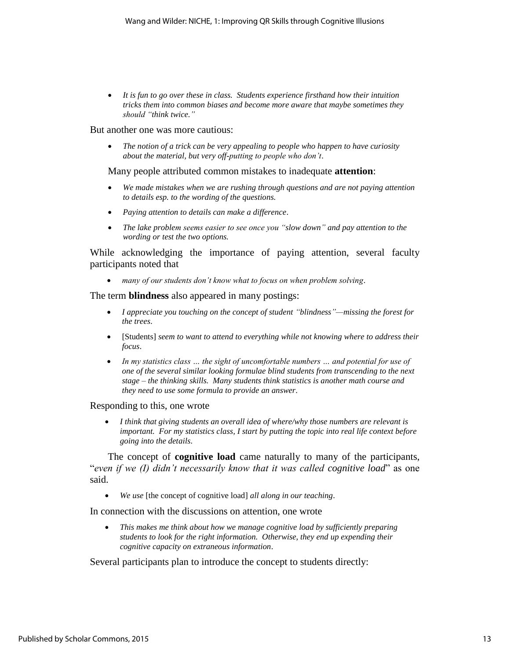*It is fun to go over these in class. Students experience firsthand how their intuition tricks them into common biases and become more aware that maybe sometimes they should "think twice."*

#### But another one was more cautious:

 *The notion of a trick can be very appealing to people who happen to have curiosity about the material, but very off-putting to people who don't*.

#### Many people attributed common mistakes to inadequate **attention**:

- *We made mistakes when we are rushing through questions and are not paying attention to details esp. to the wording of the questions.*
- *Paying attention to details can make a difference*.
- *The lake problem seems easier to see once you "slow down" and pay attention to the wording or test the two options.*

While acknowledging the importance of paying attention, several faculty participants noted that

*many of our students don't know what to focus on when problem solving*.

The term **blindness** also appeared in many postings:

- *I appreciate you touching on the concept of student "blindness"—missing the forest for the trees*.
- [Students] *seem to want to attend to everything while not knowing where to address their focus*.
- *In my statistics class … the sight of uncomfortable numbers … and potential for use of one of the several similar looking formulae blind students from transcending to the next stage – the thinking skills. Many students think statistics is another math course and they need to use some formula to provide an answer*.

#### Responding to this, one wrote

 *I think that giving students an overall idea of where/why those numbers are relevant is important. For my statistics class, I start by putting the topic into real life context before going into the details*.

The concept of **cognitive load** came naturally to many of the participants, "*even if we (I) didn't necessarily know that it was called cognitive load*" as one said.

*We use* [the concept of cognitive load] *all along in our teaching*.

In connection with the discussions on attention, one wrote

 *This makes me think about how we manage cognitive load by sufficiently preparing students to look for the right information. Otherwise, they end up expending their cognitive capacity on extraneous information*.

Several participants plan to introduce the concept to students directly: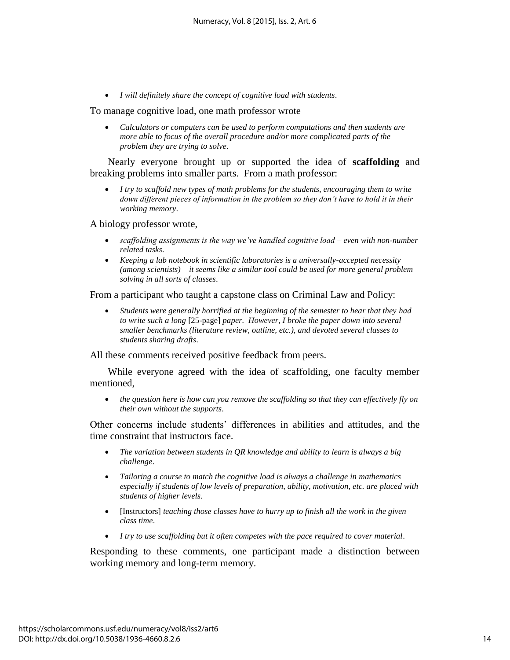*I will definitely share the concept of cognitive load with students*.

To manage cognitive load, one math professor wrote

 *Calculators or computers can be used to perform computations and then students are more able to focus of the overall procedure and/or more complicated parts of the problem they are trying to solve*.

Nearly everyone brought up or supported the idea of **scaffolding** and breaking problems into smaller parts. From a math professor:

 *I try to scaffold new types of math problems for the students, encouraging them to write down different pieces of information in the problem so they don't have to hold it in their working memory*.

A biology professor wrote,

- *scaffolding assignments is the way we've handled cognitive load even with non-number related tasks*.
- *Keeping a lab notebook in scientific laboratories is a universally-accepted necessity (among scientists) – it seems like a similar tool could be used for more general problem solving in all sorts of classes*.

From a participant who taught a capstone class on Criminal Law and Policy:

 *Students were generally horrified at the beginning of the semester to hear that they had to write such a long* [25-page] *paper. However, I broke the paper down into several smaller benchmarks (literature review, outline, etc.), and devoted several classes to students sharing drafts*.

All these comments received positive feedback from peers.

While everyone agreed with the idea of scaffolding, one faculty member mentioned,

 *the question here is how can you remove the scaffolding so that they can effectively fly on their own without the supports*.

Other concerns include students' differences in abilities and attitudes, and the time constraint that instructors face.

- *The variation between students in QR knowledge and ability to learn is always a big challenge*.
- *Tailoring a course to match the cognitive load is always a challenge in mathematics especially if students of low levels of preparation, ability, motivation, etc. are placed with students of higher levels*.
- [Instructors] *teaching those classes have to hurry up to finish all the work in the given class time*.
- *I try to use scaffolding but it often competes with the pace required to cover material*.

Responding to these comments, one participant made a distinction between working memory and long-term memory.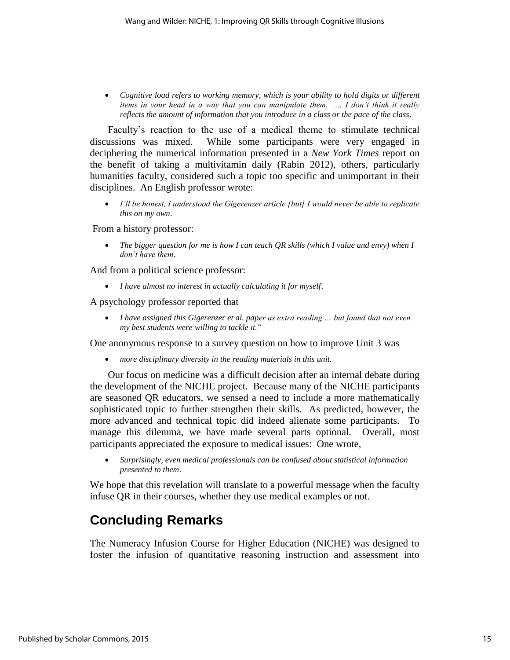*Cognitive load refers to working memory, which is your ability to hold digits or different items in your head in a way that you can manipulate them. … I don't think it really reflects the amount of information that you introduce in a class or the pace of the class*.

Faculty's reaction to the use of a medical theme to stimulate technical discussions was mixed. While some participants were very engaged in deciphering the numerical information presented in a *New York Times* report on the benefit of taking a multivitamin daily (Rabin 2012), others, particularly humanities faculty, considered such a topic too specific and unimportant in their disciplines. An English professor wrote:

 *I'll be honest, I understood the Gigerenzer article [but] I would never be able to replicate this on my own*.

From a history professor:

 *The bigger question for me is how I can teach QR skills (which I value and envy) when I don't have them*.

And from a political science professor:

*I have almost no interest in actually calculating it for myself*.

A psychology professor reported that

 *I have assigned this Gigerenzer et al. paper as extra reading … but found that not even my best students were willing to tackle it.*"

One anonymous response to a survey question on how to improve Unit 3 was

*more disciplinary diversity in the reading materials in this unit.*

Our focus on medicine was a difficult decision after an internal debate during the development of the NICHE project. Because many of the NICHE participants are seasoned QR educators, we sensed a need to include a more mathematically sophisticated topic to further strengthen their skills. As predicted, however, the more advanced and technical topic did indeed alienate some participants. To manage this dilemma, we have made several parts optional. Overall, most participants appreciated the exposure to medical issues: One wrote,

 *Surprisingly, even medical professionals can be confused about statistical information presented to them*.

We hope that this revelation will translate to a powerful message when the faculty infuse QR in their courses, whether they use medical examples or not.

## **Concluding Remarks**

The Numeracy Infusion Course for Higher Education (NICHE) was designed to foster the infusion of quantitative reasoning instruction and assessment into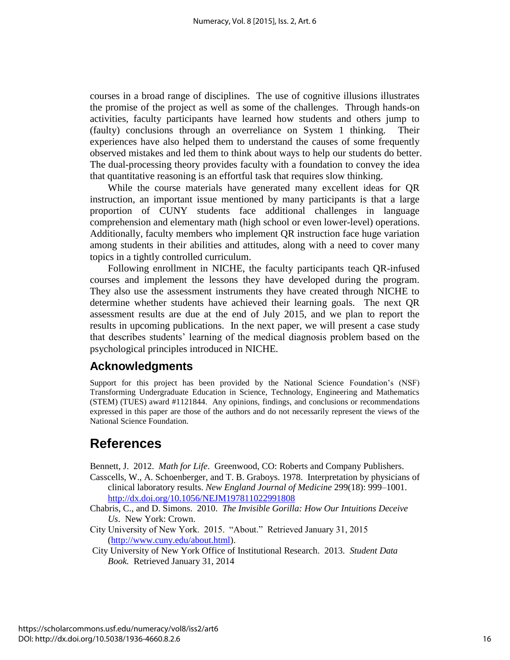courses in a broad range of disciplines. The use of cognitive illusions illustrates the promise of the project as well as some of the challenges. Through hands-on activities, faculty participants have learned how students and others jump to (faulty) conclusions through an overreliance on System 1 thinking. Their experiences have also helped them to understand the causes of some frequently observed mistakes and led them to think about ways to help our students do better. The dual-processing theory provides faculty with a foundation to convey the idea that quantitative reasoning is an effortful task that requires slow thinking.

While the course materials have generated many excellent ideas for QR instruction, an important issue mentioned by many participants is that a large proportion of CUNY students face additional challenges in language comprehension and elementary math (high school or even lower-level) operations. Additionally, faculty members who implement QR instruction face huge variation among students in their abilities and attitudes, along with a need to cover many topics in a tightly controlled curriculum.

Following enrollment in NICHE, the faculty participants teach QR-infused courses and implement the lessons they have developed during the program. They also use the assessment instruments they have created through NICHE to determine whether students have achieved their learning goals. The next QR assessment results are due at the end of July 2015, and we plan to report the results in upcoming publications. In the next paper, we will present a case study that describes students' learning of the medical diagnosis problem based on the psychological principles introduced in NICHE.

### **Acknowledgments**

Support for this project has been provided by the National Science Foundation's (NSF) Transforming Undergraduate Education in Science, Technology, Engineering and Mathematics (STEM) (TUES) award #1121844. Any opinions, findings, and conclusions or recommendations expressed in this paper are those of the authors and do not necessarily represent the views of the National Science Foundation.

## **References**

- Bennett, J. 2012. *Math for Life*. Greenwood, CO: Roberts and Company Publishers.
- Casscells, W., A. Schoenberger, and T. B. Graboys. 1978. Interpretation by physicians of clinical laboratory results. *New England Journal of Medicine* 299(18): 999–1001. <http://dx.doi.org/10.1056/NEJM197811022991808>
- Chabris, C., and D. Simons. 2010. *The Invisible Gorilla: How Our Intuitions Deceive Us*. New York: Crown.
- City University of New York. 2015. "About." Retrieved January 31, 2015 [\(http://www.cuny.edu/about.html](http://www.cuny.edu/about.html)).
- City University of New York Office of Institutional Research. 2013. *Student Data Book.* Retrieved January 31, 2014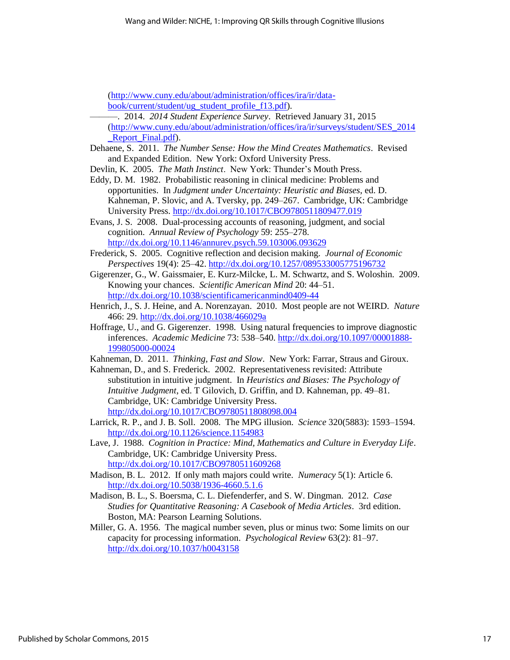[\(http://www.cuny.edu/about/administration/offices/ira/ir/data](http://www.cuny.edu/about/administration/offices/ira/ir/data-book/current/student/ug_student_profile_f13.pdf)[book/current/student/ug\\_student\\_profile\\_f13.pdf\)](http://www.cuny.edu/about/administration/offices/ira/ir/data-book/current/student/ug_student_profile_f13.pdf).

———. 2014. *2014 Student Experience Survey*. Retrieved January 31, 2015 [\(http://www.cuny.edu/about/administration/offices/ira/ir/surveys/student/SES\\_2014](http://www.cuny.edu/about/administration/offices/ira/ir/surveys/student/SES_2014_Report_Final.pdf) Report Final.pdf).

- Dehaene, S. 2011. *The Number Sense: How the Mind Creates Mathematics*. Revised and Expanded Edition. New York: Oxford University Press.
- Devlin, K. 2005. *The Math Instinct*. New York: Thunder's Mouth Press.
- Eddy, D. M. 1982. Probabilistic reasoning in clinical medicine: Problems and opportunities. In *Judgment under Uncertainty: Heuristic and Biases*, ed. D. Kahneman, P. Slovic, and A. Tversky, pp. 249–267. Cambridge, UK: Cambridge University Press.<http://dx.doi.org/10.1017/CBO9780511809477.019>

Evans, J. S. 2008. Dual-processing accounts of reasoning, judgment, and social cognition. *Annual Review of Psychology* 59: 255–278. <http://dx.doi.org/10.1146/annurev.psych.59.103006.093629>

- Frederick, S. 2005. Cognitive reflection and decision making. *Journal of Economic Perspectives* 19(4): 25–42.<http://dx.doi.org/10.1257/089533005775196732>
- Gigerenzer, G., W. Gaissmaier, E. Kurz-Milcke, L. M. Schwartz, and S. Woloshin. 2009. Knowing your chances. *Scientific American Mind* 20: 44–51. <http://dx.doi.org/10.1038/scientificamericanmind0409-44>
- Henrich, J., S. J. Heine, and A. Norenzayan. 2010. Most people are not WEIRD. *Nature* 466: 29.<http://dx.doi.org/10.1038/466029a>
- Hoffrage, U., and G. Gigerenzer. 1998. Using natural frequencies to improve diagnostic inferences. *Academic Medicine* 73: 538–540[. http://dx.doi.org/10.1097/00001888-](http://dx.doi.org/10.1097/00001888-199805000-00024) [199805000-00024](http://dx.doi.org/10.1097/00001888-199805000-00024)
- Kahneman, D. 2011. *Thinking, Fast and Slow*. New York: Farrar, Straus and Giroux.
- Kahneman, D., and S. Frederick. 2002. Representativeness revisited: Attribute substitution in intuitive judgment. In *Heuristics and Biases: The Psychology of Intuitive Judgment*, ed. T Gilovich, D. Griffin, and D. Kahneman, pp. 49–81. Cambridge, UK: Cambridge University Press. <http://dx.doi.org/10.1017/CBO9780511808098.004>
- Larrick, R. P., and J. B. Soll. 2008. The MPG illusion. *Science* 320(5883): 1593–1594. <http://dx.doi.org/10.1126/science.1154983>
- Lave, J. 1988. *Cognition in Practice: Mind, Mathematics and Culture in Everyday Life*. Cambridge, UK: Cambridge University Press. <http://dx.doi.org/10.1017/CBO9780511609268>
- Madison, B. L. 2012. If only math majors could write. *Numeracy* 5(1): Article 6. <http://dx.doi.org/10.5038/1936-4660.5.1.6>
- Madison, B. L., S. Boersma, C. L. Diefenderfer, and S. W. Dingman. 2012. *Case Studies for Quantitative Reasoning: A Casebook of Media Articles*. 3rd edition. Boston, MA: Pearson Learning Solutions.
- Miller, G. A. 1956. The magical number seven, plus or minus two: Some limits on our capacity for processing information. *Psychological Review* 63(2): 81–97. <http://dx.doi.org/10.1037/h0043158>